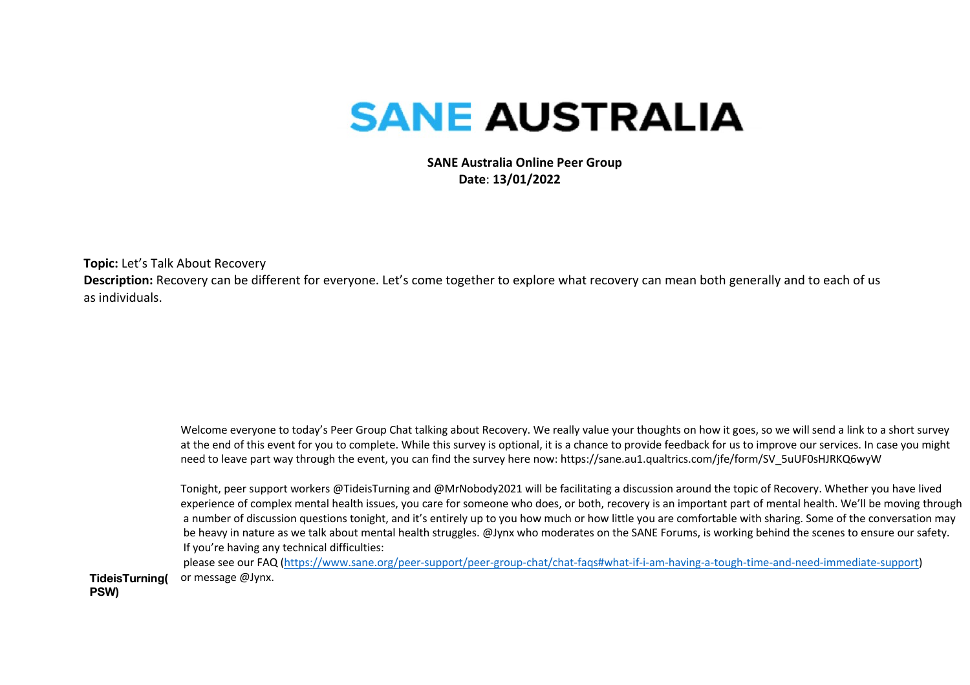# **SANE AUSTRALIA**

 **SANE Australia Online Peer Group Date**: **13/01/2022**

**Topic:** Let's Talk About Recovery

**Description:** Recovery can be different for everyone. Let's come together to explore what recovery can mean both generally and to each of us as individuals.

> Welcome everyone to today's Peer Group Chat talking about Recovery. We really value your thoughts on how it goes, so we will send a link to a short survey at the end of this event for you to complete. While this survey is optional, it is a chance to provide feedback for us to improve our services. In case you might need to leave part way through the event, you can find the survey here now: https://sane.au1.qualtrics.com/jfe/form/SV\_5uUF0sHJRKQ6wyW

Tonight, peer support workers @TideisTurning and @MrNobody2021 will be facilitating a discussion around the topic of Recovery. Whether you have lived experience of complex mental health issues, you care for someone who does, or both, recovery is an important part of mental health. We'll be moving through a number of discussion questions tonight, and it's entirely up to you how much or how little you are comfortable with sharing. Some of the conversation may be heavy in nature as we talk about mental health struggles. @Jynx who moderates on the SANE Forums, is working behind the scenes to ensure our safety. If you're having any technical difficulties:

**TideisTurning(** please see our FAQ (https://www.sane.org/peer-support/peer-group-chat/chat-faqs#what-if-i-am-having-a-tough-time-and-need-immediate-support) or message @Jynx.

**PSW)**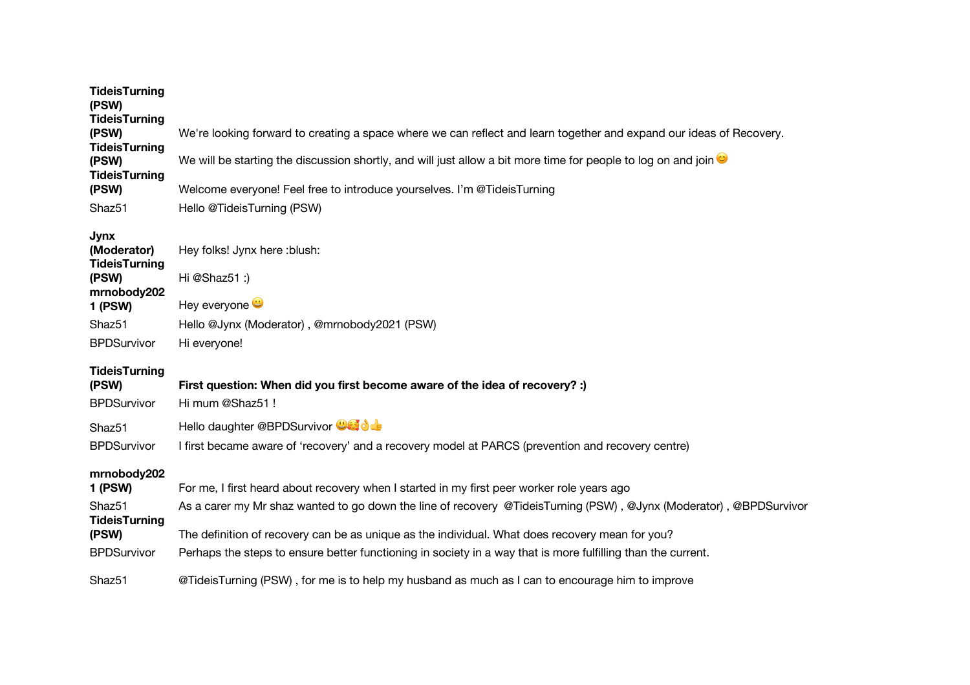| <b>TideisTurning</b><br>(PSW)              |                                                                                                                     |
|--------------------------------------------|---------------------------------------------------------------------------------------------------------------------|
| <b>TideisTurning</b>                       |                                                                                                                     |
| (PSW)                                      | We're looking forward to creating a space where we can reflect and learn together and expand our ideas of Recovery. |
| <b>TideisTurning</b><br>(PSW)              | We will be starting the discussion shortly, and will just allow a bit more time for people to log on and join       |
| <b>TideisTurning</b>                       |                                                                                                                     |
| (PSW)                                      | Welcome everyone! Feel free to introduce yourselves. I'm @TideisTurning                                             |
| Shaz51                                     | Hello @TideisTurning (PSW)                                                                                          |
| <b>Jynx</b>                                |                                                                                                                     |
| (Moderator)<br><b>TideisTurning</b>        | Hey folks! Jynx here :blush:                                                                                        |
| (PSW)                                      | Hi @Shaz51 :)                                                                                                       |
| mrnobody202                                |                                                                                                                     |
| <b>1 (PSW)</b>                             | Hey everyone                                                                                                        |
| Shaz51                                     | Hello @Jynx (Moderator), @mrnobody2021 (PSW)                                                                        |
| <b>BPDSurvivor</b>                         | Hi everyone!                                                                                                        |
| <b>TideisTurning</b>                       |                                                                                                                     |
| (PSW)                                      | First question: When did you first become aware of the idea of recovery? :)                                         |
| <b>BPDSurvivor</b>                         | Hi mum @Shaz51!                                                                                                     |
| Shaz51                                     | Hello daughter @BPDSurvivor <b>@Gid de</b>                                                                          |
| <b>BPDSurvivor</b>                         | I first became aware of 'recovery' and a recovery model at PARCS (prevention and recovery centre)                   |
| mrnobody202                                |                                                                                                                     |
| 1 (PSW)                                    | For me, I first heard about recovery when I started in my first peer worker role years ago                          |
| Shaz <sub>51</sub><br><b>TideisTurning</b> | As a carer my Mr shaz wanted to go down the line of recovery @TideisTurning (PSW), @Jynx (Moderator), @BPDSurvivor  |
| (PSW)                                      | The definition of recovery can be as unique as the individual. What does recovery mean for you?                     |
| <b>BPDSurvivor</b>                         | Perhaps the steps to ensure better functioning in society in a way that is more fulfilling than the current.        |
| Shaz51                                     | @TideisTurning (PSW), for me is to help my husband as much as I can to encourage him to improve                     |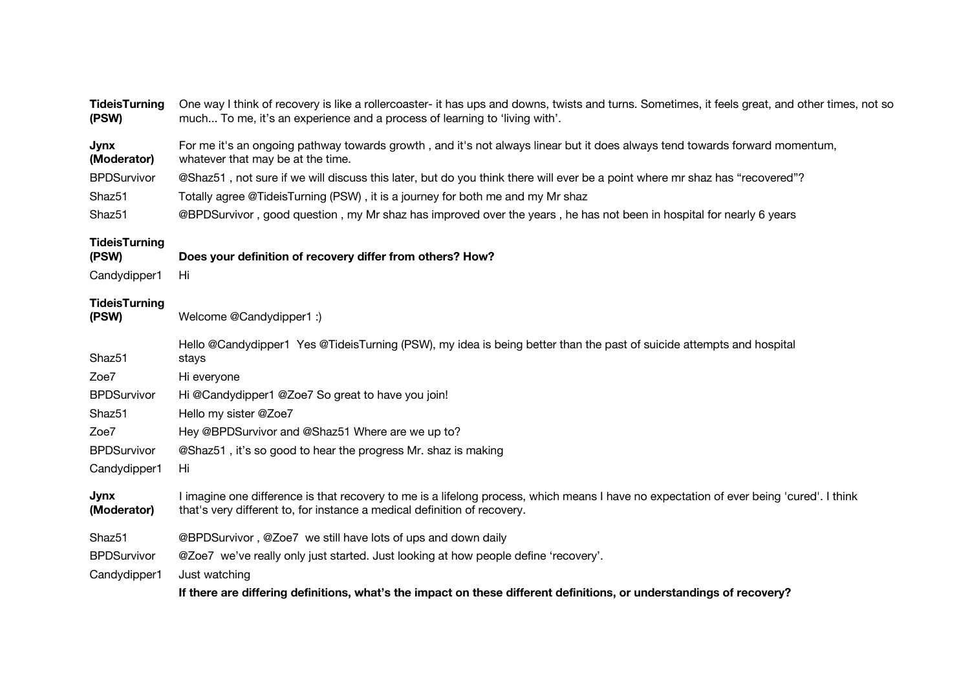| <b>TideisTurning</b><br>(PSW)                                                                                        | One way I think of recovery is like a rollercoaster- it has ups and downs, twists and turns. Sometimes, it feels great, and other times, not so<br>much To me, it's an experience and a process of learning to 'living with'.                                                                                                                                                                                                                                                                            |  |
|----------------------------------------------------------------------------------------------------------------------|----------------------------------------------------------------------------------------------------------------------------------------------------------------------------------------------------------------------------------------------------------------------------------------------------------------------------------------------------------------------------------------------------------------------------------------------------------------------------------------------------------|--|
| Jynx<br>(Moderator)<br><b>BPDSurvivor</b><br>Shaz <sub>51</sub><br>Shaz <sub>51</sub>                                | For me it's an ongoing pathway towards growth, and it's not always linear but it does always tend towards forward momentum,<br>whatever that may be at the time.<br>@Shaz51, not sure if we will discuss this later, but do you think there will ever be a point where mr shaz has "recovered"?<br>Totally agree @TideisTurning (PSW), it is a journey for both me and my Mr shaz<br>@BPDSurvivor, good question, my Mr shaz has improved over the years, he has not been in hospital for nearly 6 years |  |
| <b>TideisTurning</b><br>(PSW)<br>Candydipper1                                                                        | Does your definition of recovery differ from others? How?<br>Hi                                                                                                                                                                                                                                                                                                                                                                                                                                          |  |
| <b>TideisTurning</b><br>(PSW)                                                                                        | Welcome @Candydipper1 :)                                                                                                                                                                                                                                                                                                                                                                                                                                                                                 |  |
| Shaz <sub>51</sub><br>Zoe7<br><b>BPDSurvivor</b><br>Shaz <sub>51</sub><br>Zoe7<br><b>BPDSurvivor</b><br>Candydipper1 | Hello @Candydipper1 Yes @TideisTurning (PSW), my idea is being better than the past of suicide attempts and hospital<br>stays<br>Hi everyone<br>Hi @Candydipper1 @Zoe7 So great to have you join!<br>Hello my sister @Zoe7<br>Hey @BPDSurvivor and @Shaz51 Where are we up to?<br>@Shaz51, it's so good to hear the progress Mr. shaz is making<br>Hi                                                                                                                                                    |  |
| <b>Jynx</b><br>(Moderator)                                                                                           | I imagine one difference is that recovery to me is a lifelong process, which means I have no expectation of ever being 'cured'. I think<br>that's very different to, for instance a medical definition of recovery.                                                                                                                                                                                                                                                                                      |  |
| Shaz <sub>51</sub><br><b>BPDSurvivor</b><br>Candydipper1                                                             | @BPDSurvivor, @Zoe7 we still have lots of ups and down daily<br>@Zoe7 we've really only just started. Just looking at how people define 'recovery'.<br>Just watching<br>If there are differing definitions, what's the impact on these different definitions, or understandings of recovery?                                                                                                                                                                                                             |  |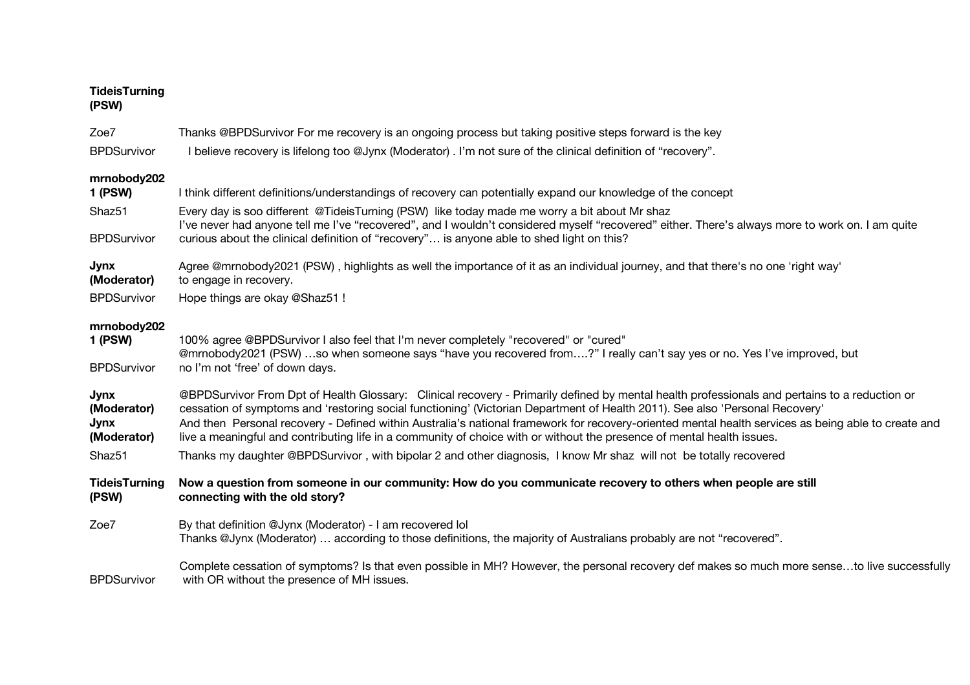| <b>TideisTurning</b> |  |
|----------------------|--|
| (PSW)                |  |

| Zoe7<br><b>BPDSurvivor</b>                          | Thanks @BPDSurvivor For me recovery is an ongoing process but taking positive steps forward is the key<br>I believe recovery is lifelong too @Jynx (Moderator) . I'm not sure of the clinical definition of "recovery".                                                                                                                                                                                                                                                                                                                                        |
|-----------------------------------------------------|----------------------------------------------------------------------------------------------------------------------------------------------------------------------------------------------------------------------------------------------------------------------------------------------------------------------------------------------------------------------------------------------------------------------------------------------------------------------------------------------------------------------------------------------------------------|
| mrnobody202<br><b>1 (PSW)</b>                       | I think different definitions/understandings of recovery can potentially expand our knowledge of the concept                                                                                                                                                                                                                                                                                                                                                                                                                                                   |
| Shaz51<br><b>BPDSurvivor</b>                        | Every day is soo different @TideisTurning (PSW) like today made me worry a bit about Mr shaz<br>I've never had anyone tell me I've "recovered", and I wouldn't considered myself "recovered" either. There's always more to work on. I am quite<br>curious about the clinical definition of "recovery" is anyone able to shed light on this?                                                                                                                                                                                                                   |
| <b>Jynx</b><br>(Moderator)                          | Agree @mrnobody2021 (PSW), highlights as well the importance of it as an individual journey, and that there's no one 'right way'<br>to engage in recovery.                                                                                                                                                                                                                                                                                                                                                                                                     |
| <b>BPDSurvivor</b>                                  | Hope things are okay @Shaz51!                                                                                                                                                                                                                                                                                                                                                                                                                                                                                                                                  |
| mrnobody202<br><b>1 (PSW)</b><br><b>BPDSurvivor</b> | 100% agree @BPDSurvivor I also feel that I'm never completely "recovered" or "cured"<br>@mrnobody2021 (PSW) so when someone says "have you recovered from?" I really can't say yes or no. Yes I've improved, but<br>no I'm not 'free' of down days.                                                                                                                                                                                                                                                                                                            |
| <b>Jynx</b><br>(Moderator)<br>Jynx<br>(Moderator)   | @BPDSurvivor From Dpt of Health Glossary: Clinical recovery - Primarily defined by mental health professionals and pertains to a reduction or<br>cessation of symptoms and 'restoring social functioning' (Victorian Department of Health 2011). See also 'Personal Recovery'<br>And then Personal recovery - Defined within Australia's national framework for recovery-oriented mental health services as being able to create and<br>live a meaningful and contributing life in a community of choice with or without the presence of mental health issues. |
| Shaz <sub>51</sub>                                  | Thanks my daughter @BPDSurvivor, with bipolar 2 and other diagnosis, I know Mr shaz will not be totally recovered                                                                                                                                                                                                                                                                                                                                                                                                                                              |
| <b>TideisTurning</b><br>(PSW)                       | Now a question from someone in our community: How do you communicate recovery to others when people are still<br>connecting with the old story?                                                                                                                                                                                                                                                                                                                                                                                                                |
| Zoe7                                                | By that definition @Jynx (Moderator) - I am recovered lol<br>Thanks @Jynx (Moderator)  according to those definitions, the majority of Australians probably are not "recovered".                                                                                                                                                                                                                                                                                                                                                                               |
| <b>BPDSurvivor</b>                                  | Complete cessation of symptoms? Is that even possible in MH? However, the personal recovery def makes so much more senseto live successfully<br>with OR without the presence of MH issues.                                                                                                                                                                                                                                                                                                                                                                     |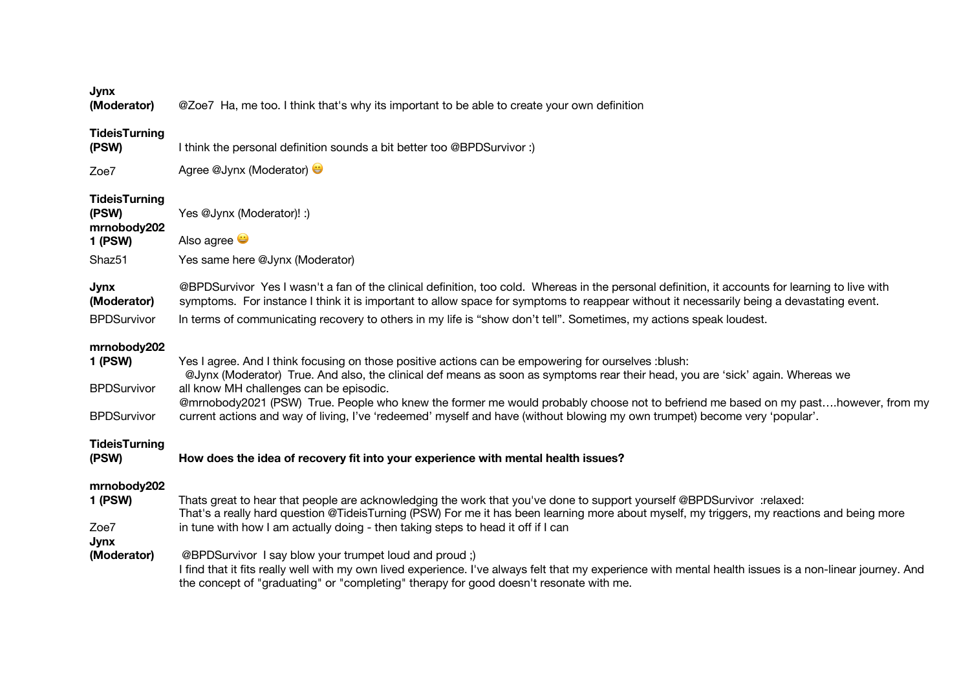| ×<br>M.<br>۰. |
|---------------|
|---------------|

**(Moderator)** @Zoe7 Ha, me too. I think that's why its important to be able to create your own definition

|  | <b>TideisTurning</b> |
|--|----------------------|
|  |                      |

| (PSW) | I think the personal definition sounds a bit better too @BPDSurvivor :) |
|-------|-------------------------------------------------------------------------|
|-------|-------------------------------------------------------------------------|

Zoe7 Agree @Jynx (Moderator)

### **TideisTurning**

| (PSW)       | Yes @Jynx (Moderator)! :) |
|-------------|---------------------------|
| mrnobody202 |                           |

**1 (PSW)** Also agree

Shaz51 Yes same here @Jynx (Moderator)

#### **Jynx (Moderator)** @BPDSurvivor Yes I wasn't a fan of the clinical definition, too cold. Whereas in the personal definition, it accounts for learning to live with symptoms. For instance I think it is important to allow space for symptoms to reappear without it necessarily being a devastating event.

BPDSurvivor In terms of communicating recovery to others in my life is "show don't tell". Sometimes, my actions speak loudest.

# **mrnobody202**

#### **1 (PSW)** Yes I agree. And I think focusing on those positive actions can be empowering for ourselves :blush: **BPDSurvivor** @Jynx (Moderator) True. And also, the clinical def means as soon as symptoms rear their head, you are 'sick' again. Whereas we all know MH challenges can be episodic. **BPDSurvivor** @mrnobody2021 (PSW) True. People who knew the former me would probably choose not to befriend me based on my past….however, from my current actions and way of living, I've 'redeemed' myself and have (without blowing my own trumpet) become very 'popular'.

# **TideisTurning**

# **(PSW) How does the idea of recovery fit into your experience with mental health issues?**

## **mrnobody202**

#### **1 (PSW)** Thats great to hear that people are acknowledging the work that you've done to support yourself @BPDSurvivor :relaxed: Zoe7 That's a really hard question @TideisTurning (PSW) For me it has been learning more about myself, my triggers, my reactions and being more in tune with how I am actually doing - then taking steps to head it off if I can

# **Jynx**

# **(Moderator)** @BPDSurvivor I say blow your trumpet loud and proud ;)

I find that it fits really well with my own lived experience. I've always felt that my experience with mental health issues is a non-linear journey. And the concept of "graduating" or "completing" therapy for good doesn't resonate with me.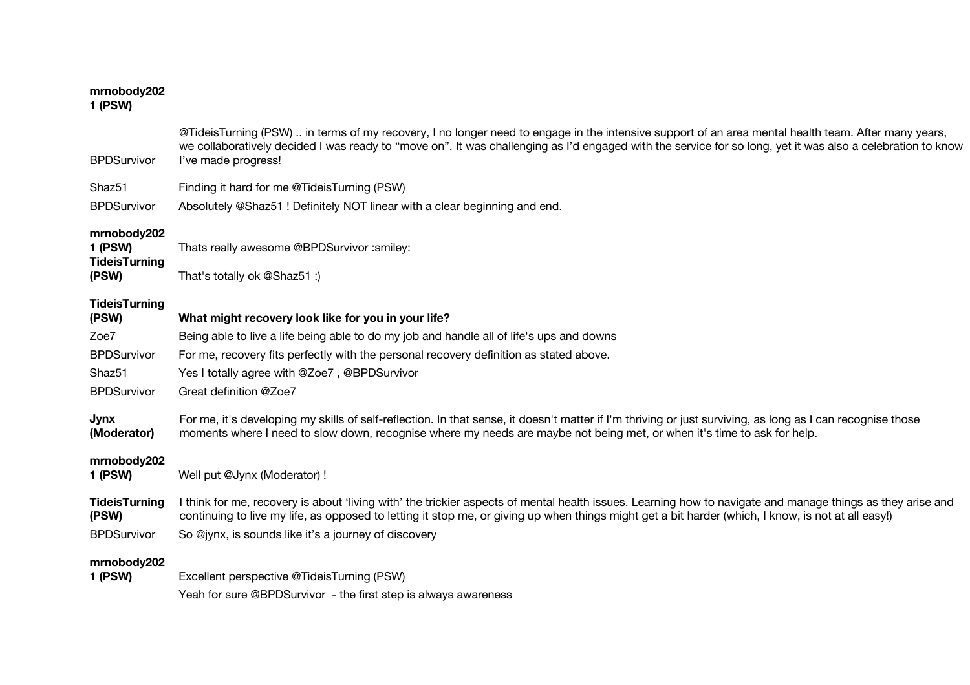# **mrnobody202**

# **1 (PSW)**

| <b>BPDSurvivor</b>                                             | @TideisTurning (PSW) in terms of my recovery, I no longer need to engage in the intensive support of an area mental health team. After many years,<br>we collaboratively decided I was ready to "move on". It was challenging as I'd engaged with the service for so long, yet it was also a celebration to know<br>I've made progress! |
|----------------------------------------------------------------|-----------------------------------------------------------------------------------------------------------------------------------------------------------------------------------------------------------------------------------------------------------------------------------------------------------------------------------------|
| Shaz51                                                         | Finding it hard for me @TideisTurning (PSW)                                                                                                                                                                                                                                                                                             |
| <b>BPDSurvivor</b>                                             | Absolutely @Shaz51 ! Definitely NOT linear with a clear beginning and end.                                                                                                                                                                                                                                                              |
| mrnobody202<br><b>1 (PSW)</b><br><b>TideisTurning</b><br>(PSW) | Thats really awesome @BPDSurvivor :smiley:<br>That's totally ok @Shaz51 :)                                                                                                                                                                                                                                                              |
| <b>TideisTurning</b><br>(PSW)                                  | What might recovery look like for you in your life?                                                                                                                                                                                                                                                                                     |
| Zoe7                                                           | Being able to live a life being able to do my job and handle all of life's ups and downs                                                                                                                                                                                                                                                |
| <b>BPDSurvivor</b>                                             | For me, recovery fits perfectly with the personal recovery definition as stated above.                                                                                                                                                                                                                                                  |
| Shaz <sub>51</sub>                                             | Yes I totally agree with @Zoe7, @BPDSurvivor                                                                                                                                                                                                                                                                                            |
| <b>BPDSurvivor</b>                                             | Great definition @Zoe7                                                                                                                                                                                                                                                                                                                  |
| Jynx<br>(Moderator)                                            | For me, it's developing my skills of self-reflection. In that sense, it doesn't matter if I'm thriving or just surviving, as long as I can recognise those<br>moments where I need to slow down, recognise where my needs are maybe not being met, or when it's time to ask for help.                                                   |
| mrnobody202<br><b>1 (PSW)</b>                                  | Well put @Jynx (Moderator) !                                                                                                                                                                                                                                                                                                            |
| <b>TideisTurning</b><br>(PSW)                                  | I think for me, recovery is about 'living with' the trickier aspects of mental health issues. Learning how to navigate and manage things as they arise and<br>continuing to live my life, as opposed to letting it stop me, or giving up when things might get a bit harder (which, I know, is not at all easy!)                        |
| <b>BPDSurvivor</b>                                             | So @jynx, is sounds like it's a journey of discovery                                                                                                                                                                                                                                                                                    |
| mrnobody202<br>1 (PSW)                                         | Excellent perspective @TideisTurning (PSW)<br>Yeah for sure @BPDSurvivor - the first step is always awareness                                                                                                                                                                                                                           |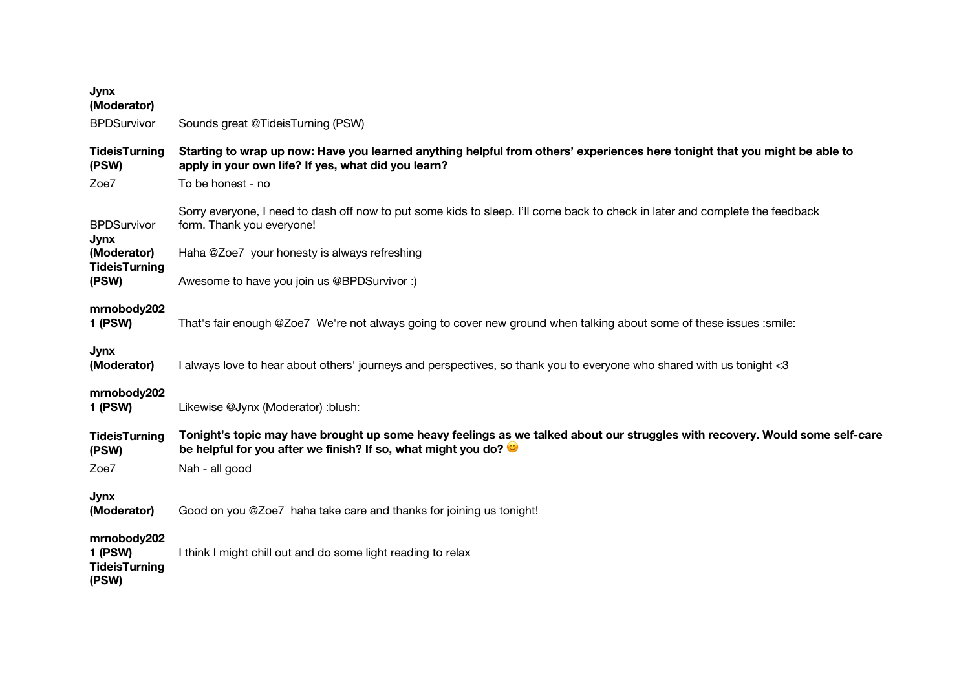| Sounds great @TideisTurning (PSW)                                                                                                                                                                      |
|--------------------------------------------------------------------------------------------------------------------------------------------------------------------------------------------------------|
| Starting to wrap up now: Have you learned anything helpful from others' experiences here tonight that you might be able to<br>apply in your own life? If yes, what did you learn?<br>To be honest - no |
| Sorry everyone, I need to dash off now to put some kids to sleep. I'll come back to check in later and complete the feedback<br>form. Thank you everyone!                                              |
| Haha @Zoe7 your honesty is always refreshing                                                                                                                                                           |
| Awesome to have you join us @BPDSurvivor:)                                                                                                                                                             |
| That's fair enough @Zoe7 We're not always going to cover new ground when talking about some of these issues :smile:                                                                                    |
| I always love to hear about others' journeys and perspectives, so thank you to everyone who shared with us tonight <3                                                                                  |
| Likewise @Jynx (Moderator) :blush:                                                                                                                                                                     |
| Tonight's topic may have brought up some heavy feelings as we talked about our struggles with recovery. Would some self-care<br>be helpful for you after we finish? If so, what might you do?          |
| Nah - all good                                                                                                                                                                                         |
| Good on you @Zoe7 haha take care and thanks for joining us tonight!                                                                                                                                    |
| I think I might chill out and do some light reading to relax                                                                                                                                           |
|                                                                                                                                                                                                        |